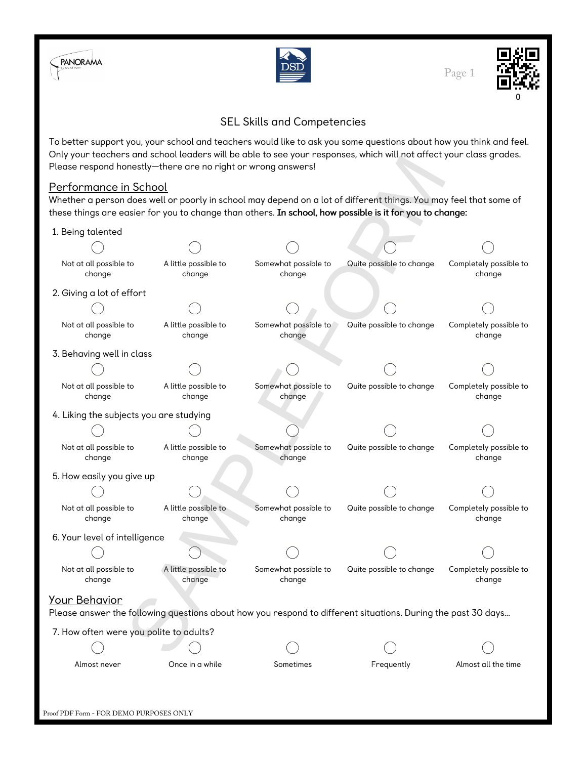



Page 1



## SEL Skills and Competencies

To better support you, your school and teachers would like to ask you some questions about how you think and feel. Only your teachers and school leaders will be able to see your responses, which will not affect your class grades. Please respond honestly—there are no right or wrong answers!

## Performance in School

## 1. Being talented

| Only your teachers and scribbliteduer's will be able to see your responses, which will not arrect your class grades.<br>Please respond honestly—there are no right or wrong answers!                                                                         |                                |                                |                          |                                  |  |  |  |
|--------------------------------------------------------------------------------------------------------------------------------------------------------------------------------------------------------------------------------------------------------------|--------------------------------|--------------------------------|--------------------------|----------------------------------|--|--|--|
| <u>Performance in School</u><br>Whether a person does well or poorly in school may depend on a lot of different things. You may feel that some of<br>these things are easier for you to change than others. In school, how possible is it for you to change: |                                |                                |                          |                                  |  |  |  |
| 1. Being talented                                                                                                                                                                                                                                            |                                |                                |                          |                                  |  |  |  |
|                                                                                                                                                                                                                                                              |                                |                                |                          |                                  |  |  |  |
| Not at all possible to<br>change                                                                                                                                                                                                                             | A little possible to<br>change | Somewhat possible to<br>change | Quite possible to change | Completely possible to<br>change |  |  |  |
| 2. Giving a lot of effort                                                                                                                                                                                                                                    |                                |                                |                          |                                  |  |  |  |
|                                                                                                                                                                                                                                                              |                                |                                |                          |                                  |  |  |  |
| Not at all possible to<br>change                                                                                                                                                                                                                             | A little possible to<br>change | Somewhat possible to<br>change | Quite possible to change | Completely possible to<br>change |  |  |  |
| 3. Behaving well in class                                                                                                                                                                                                                                    |                                |                                |                          |                                  |  |  |  |
|                                                                                                                                                                                                                                                              |                                |                                |                          |                                  |  |  |  |
| Not at all possible to<br>change                                                                                                                                                                                                                             | A little possible to<br>change | Somewhat possible to<br>change | Quite possible to change | Completely possible to<br>change |  |  |  |
| 4. Liking the subjects you are studying                                                                                                                                                                                                                      |                                |                                |                          |                                  |  |  |  |
|                                                                                                                                                                                                                                                              |                                |                                |                          |                                  |  |  |  |
| Not at all possible to<br>change                                                                                                                                                                                                                             | A little possible to<br>change | Somewhat possible to<br>change | Quite possible to change | Completely possible to<br>change |  |  |  |
| 5. How easily you give up                                                                                                                                                                                                                                    |                                |                                |                          |                                  |  |  |  |
|                                                                                                                                                                                                                                                              |                                |                                |                          |                                  |  |  |  |
| Not at all possible to<br>change                                                                                                                                                                                                                             | A little possible to<br>change | Somewhat possible to<br>change | Quite possible to change | Completely possible to<br>change |  |  |  |
| 6. Your level of intelligence                                                                                                                                                                                                                                |                                |                                |                          |                                  |  |  |  |
|                                                                                                                                                                                                                                                              |                                |                                |                          |                                  |  |  |  |
| Not at all possible to<br>change                                                                                                                                                                                                                             | A little possible to<br>change | Somewhat possible to<br>change | Quite possible to change | Completely possible to<br>change |  |  |  |
| <u> Your Behavior</u>                                                                                                                                                                                                                                        |                                |                                |                          |                                  |  |  |  |
| Please answer the following questions about how you respond to different situations. During the past 30 days                                                                                                                                                 |                                |                                |                          |                                  |  |  |  |
| 7. How often were you polite to adults?                                                                                                                                                                                                                      |                                |                                |                          |                                  |  |  |  |
|                                                                                                                                                                                                                                                              |                                |                                |                          |                                  |  |  |  |
| Almost never                                                                                                                                                                                                                                                 | Once in a while                | Sometimes                      | Frequently               | Almost all the time              |  |  |  |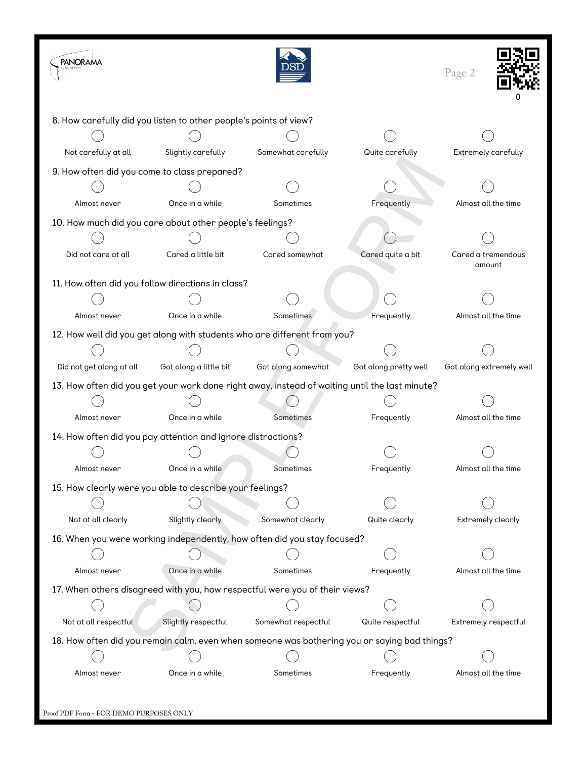| <b>PANORAMA</b>                                                                                |                                                              |                                                                          |                       | Page 2                       |  |  |  |  |
|------------------------------------------------------------------------------------------------|--------------------------------------------------------------|--------------------------------------------------------------------------|-----------------------|------------------------------|--|--|--|--|
| 8. How carefully did you listen to other people's points of view?                              |                                                              |                                                                          |                       |                              |  |  |  |  |
|                                                                                                |                                                              |                                                                          |                       |                              |  |  |  |  |
| Not carefully at all                                                                           | Slightly carefully                                           | Somewhat carefully                                                       | Quite carefully       | Extremely carefully          |  |  |  |  |
| 9. How often did you come to class prepared?                                                   |                                                              |                                                                          |                       |                              |  |  |  |  |
|                                                                                                |                                                              |                                                                          |                       |                              |  |  |  |  |
| Almost never                                                                                   | Once in a while                                              | Sometimes                                                                | Frequently            | Almost all the time          |  |  |  |  |
| 10. How much did you care about other people's feelings?                                       |                                                              |                                                                          |                       |                              |  |  |  |  |
|                                                                                                |                                                              |                                                                          |                       |                              |  |  |  |  |
| Did not care at all                                                                            | Cared a little bit                                           | Cared somewhat                                                           | Cared quite a bit     | Cared a tremendous<br>amount |  |  |  |  |
| 11. How often did you follow directions in class?                                              |                                                              |                                                                          |                       |                              |  |  |  |  |
|                                                                                                |                                                              |                                                                          |                       |                              |  |  |  |  |
| Almost never                                                                                   | Once in a while                                              | Sometimes                                                                | Frequently            | Almost all the time          |  |  |  |  |
|                                                                                                |                                                              | 12. How well did you get along with students who are different from you? |                       |                              |  |  |  |  |
|                                                                                                |                                                              |                                                                          |                       |                              |  |  |  |  |
| Did not get along at all                                                                       | Got along a little bit                                       | Got along somewhat                                                       | Got along pretty well | Got along extremely well     |  |  |  |  |
| 13. How often did you get your work done right away, instead of waiting until the last minute? |                                                              |                                                                          |                       |                              |  |  |  |  |
|                                                                                                |                                                              |                                                                          |                       |                              |  |  |  |  |
| Almost never                                                                                   | Once in a while                                              | Sometimes                                                                | Frequently            | Almost all the time          |  |  |  |  |
|                                                                                                | 14. How often did you pay attention and ignore distractions? |                                                                          |                       |                              |  |  |  |  |
|                                                                                                |                                                              |                                                                          |                       |                              |  |  |  |  |
| Almost never                                                                                   | Once in a while                                              | Sometimes                                                                | Frequently            | Almost all the time          |  |  |  |  |
| 15. How clearly were you able to describe your feelings?                                       |                                                              |                                                                          |                       |                              |  |  |  |  |
|                                                                                                |                                                              |                                                                          |                       |                              |  |  |  |  |
| Not at all clearly                                                                             | Slightly clearly                                             | Somewhat clearly                                                         | Quite clearly         | Extremely clearly            |  |  |  |  |
| 16. When you were working independently, how often did you stay focused?                       |                                                              |                                                                          |                       |                              |  |  |  |  |
|                                                                                                |                                                              |                                                                          |                       |                              |  |  |  |  |
| Almost never                                                                                   | Once in a while                                              | Sometimes                                                                | Frequently            | Almost all the time          |  |  |  |  |
| 17. When others disagreed with you, how respectful were you of their views?                    |                                                              |                                                                          |                       |                              |  |  |  |  |
|                                                                                                |                                                              |                                                                          |                       |                              |  |  |  |  |
| Not at all respectful                                                                          | Slightly respectful                                          | Somewhat respectful                                                      | Quite respectful      | Extremely respectful         |  |  |  |  |
| 18. How often did you remain calm, even when someone was bothering you or saying bad things?   |                                                              |                                                                          |                       |                              |  |  |  |  |
|                                                                                                |                                                              |                                                                          |                       |                              |  |  |  |  |
| Almost never                                                                                   | Once in a while                                              | Sometimes                                                                | Frequently            | Almost all the time          |  |  |  |  |
|                                                                                                |                                                              |                                                                          |                       |                              |  |  |  |  |